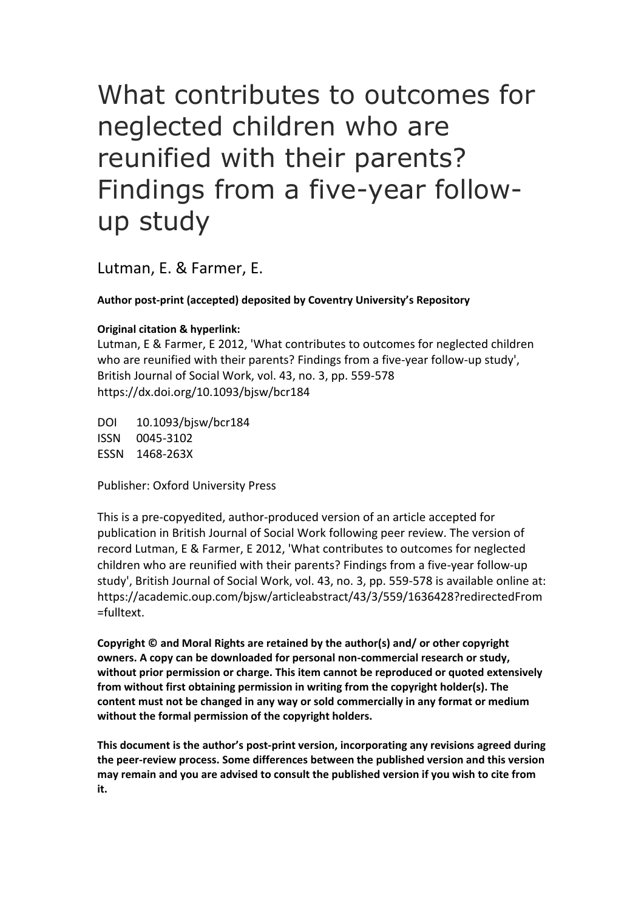# What contributes to outcomes for neglected children who are reunified with their parents? Findings from a five-year followup study

Lutman, E. & Farmer, E.

**Author post-print (accepted) deposited by Coventry University's Repository**

# **Original citation & hyperlink:**

Lutman, E & Farmer, E 2012, 'What contributes to outcomes for neglected children who are reunified with their parents? Findings from a five-year follow-up study', British Journal of Social Work, vol. 43, no. 3, pp. 559-578 https://dx.doi.org/10.1093/bjsw/bcr184

DOI 10.1093/bjsw/bcr184 ISSN 0045-3102 ESSN 1468-263X

Publisher: Oxford University Press

This is a pre-copyedited, author-produced version of an article accepted for publication in British Journal of Social Work following peer review. The version of record Lutman, E & Farmer, E 2012, 'What contributes to outcomes for neglected children who are reunified with their parents? Findings from a five-year follow-up study', British Journal of Social Work, vol. 43, no. 3, pp. 559-578 is available online at: https://academic.oup.com/bjsw/articleabstract/43/3/559/1636428?redirectedFrom =fulltext.

**Copyright © and Moral Rights are retained by the author(s) and/ or other copyright owners. A copy can be downloaded for personal non-commercial research or study, without prior permission or charge. This item cannot be reproduced or quoted extensively from without first obtaining permission in writing from the copyright holder(s). The content must not be changed in any way or sold commercially in any format or medium without the formal permission of the copyright holders.** 

**This document is the author's post-print version, incorporating any revisions agreed during the peer-review process. Some differences between the published version and this version may remain and you are advised to consult the published version if you wish to cite from it.**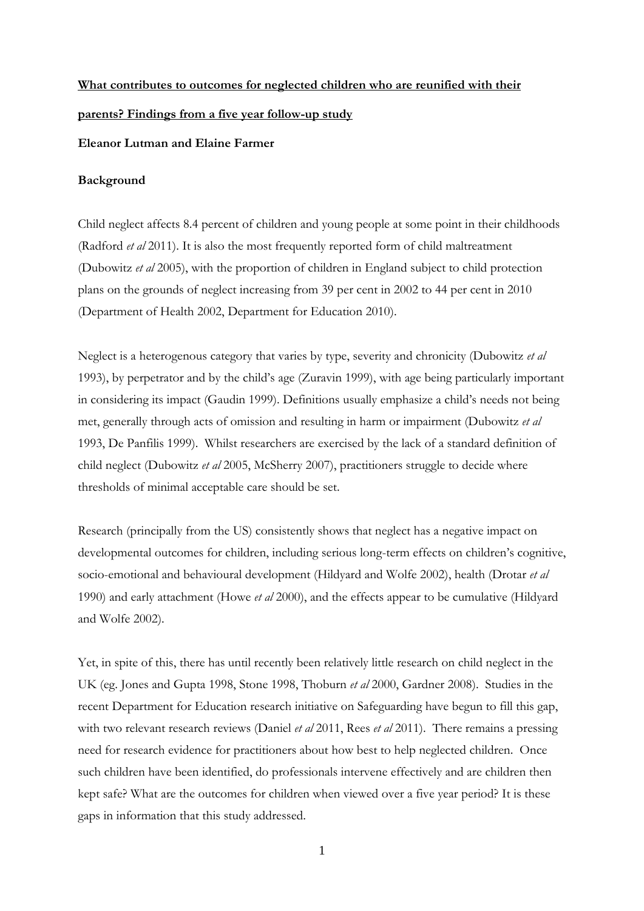# **What contributes to outcomes for neglected children who are reunified with their parents? Findings from a five year follow-up study**

## **Eleanor Lutman and Elaine Farmer**

# **Background**

Child neglect affects 8.4 percent of children and young people at some point in their childhoods (Radford *et al* 2011). It is also the most frequently reported form of child maltreatment (Dubowitz *et al* 2005), with the proportion of children in England subject to child protection plans on the grounds of neglect increasing from 39 per cent in 2002 to 44 per cent in 2010 (Department of Health 2002, Department for Education 2010).

Neglect is a heterogenous category that varies by type, severity and chronicity (Dubowitz *et al*  1993), by perpetrator and by the child's age (Zuravin 1999), with age being particularly important in considering its impact (Gaudin 1999). Definitions usually emphasize a child's needs not being met, generally through acts of omission and resulting in harm or impairment (Dubowitz *et al* 1993, De Panfilis 1999). Whilst researchers are exercised by the lack of a standard definition of child neglect (Dubowitz *et al* 2005, McSherry 2007), practitioners struggle to decide where thresholds of minimal acceptable care should be set.

Research (principally from the US) consistently shows that neglect has a negative impact on developmental outcomes for children, including serious long-term effects on children's cognitive, socio-emotional and behavioural development (Hildyard and Wolfe 2002), health (Drotar *et al*  1990) and early attachment (Howe *et al* 2000), and the effects appear to be cumulative (Hildyard and Wolfe 2002).

Yet, in spite of this, there has until recently been relatively little research on child neglect in the UK (eg. Jones and Gupta 1998, Stone 1998, Thoburn *et al* 2000, Gardner 2008). Studies in the recent Department for Education research initiative on Safeguarding have begun to fill this gap, with two relevant research reviews (Daniel *et al* 2011, Rees *et al* 2011). There remains a pressing need for research evidence for practitioners about how best to help neglected children. Once such children have been identified, do professionals intervene effectively and are children then kept safe? What are the outcomes for children when viewed over a five year period? It is these gaps in information that this study addressed.

1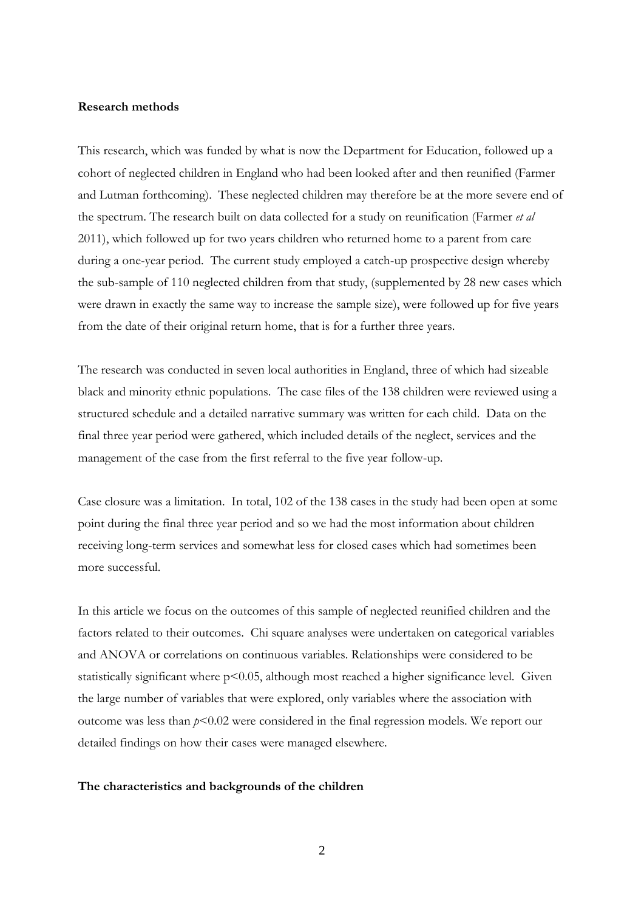### **Research methods**

This research, which was funded by what is now the Department for Education, followed up a cohort of neglected children in England who had been looked after and then reunified (Farmer and Lutman forthcoming). These neglected children may therefore be at the more severe end of the spectrum. The research built on data collected for a study on reunification (Farmer *et al* 2011), which followed up for two years children who returned home to a parent from care during a one-year period. The current study employed a catch-up prospective design whereby the sub-sample of 110 neglected children from that study, (supplemented by 28 new cases which were drawn in exactly the same way to increase the sample size), were followed up for five years from the date of their original return home, that is for a further three years.

The research was conducted in seven local authorities in England, three of which had sizeable black and minority ethnic populations. The case files of the 138 children were reviewed using a structured schedule and a detailed narrative summary was written for each child. Data on the final three year period were gathered, which included details of the neglect, services and the management of the case from the first referral to the five year follow-up.

Case closure was a limitation. In total, 102 of the 138 cases in the study had been open at some point during the final three year period and so we had the most information about children receiving long-term services and somewhat less for closed cases which had sometimes been more successful.

In this article we focus on the outcomes of this sample of neglected reunified children and the factors related to their outcomes. Chi square analyses were undertaken on categorical variables and ANOVA or correlations on continuous variables. Relationships were considered to be statistically significant where  $p<0.05$ , although most reached a higher significance level. Given the large number of variables that were explored, only variables where the association with outcome was less than *p*<0.02 were considered in the final regression models. We report our detailed findings on how their cases were managed elsewhere.

#### **The characteristics and backgrounds of the children**

2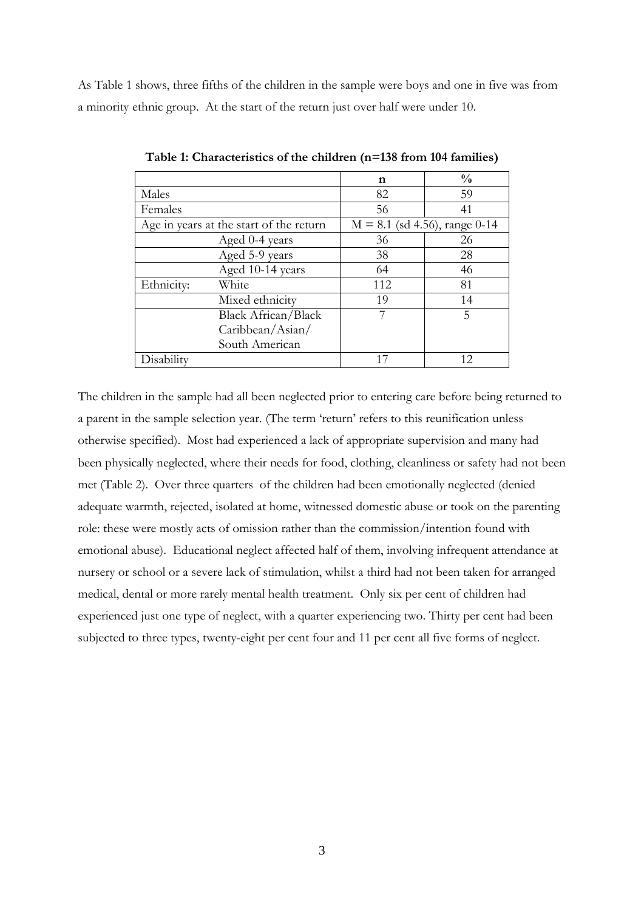As Table 1 shows, three fifths of the children in the sample were boys and one in five was from a minority ethnic group. At the start of the return just over half were under 10.

|                |                                         | n   | $\frac{0}{0}$                   |
|----------------|-----------------------------------------|-----|---------------------------------|
| Males          |                                         | 82  | 59                              |
| Females        |                                         | 56  | 41                              |
|                | Age in years at the start of the return |     | $M = 8.1$ (sd 4.56), range 0-14 |
| Aged 0-4 years |                                         | 36  | 26                              |
|                | Aged 5-9 years                          | 38  | 28                              |
|                | Aged 10-14 years                        | 64  | 46                              |
| Ethnicity:     | White                                   | 112 | 81                              |
|                | Mixed ethnicity                         | 19  | 14                              |
|                | Black African/Black                     | 7   | 5                               |
|                | Caribbean/Asian/                        |     |                                 |
|                | South American                          |     |                                 |
| Disability     |                                         |     | 12                              |

**Table 1: Characteristics of the children (n=138 from 104 families)**

The children in the sample had all been neglected prior to entering care before being returned to a parent in the sample selection year. (The term 'return' refers to this reunification unless otherwise specified). Most had experienced a lack of appropriate supervision and many had been physically neglected, where their needs for food, clothing, cleanliness or safety had not been met (Table 2). Over three quarters of the children had been emotionally neglected (denied adequate warmth, rejected, isolated at home, witnessed domestic abuse or took on the parenting role: these were mostly acts of omission rather than the commission/intention found with emotional abuse). Educational neglect affected half of them, involving infrequent attendance at nursery or school or a severe lack of stimulation, whilst a third had not been taken for arranged medical, dental or more rarely mental health treatment. Only six per cent of children had experienced just one type of neglect, with a quarter experiencing two. Thirty per cent had been subjected to three types, twenty-eight per cent four and 11 per cent all five forms of neglect.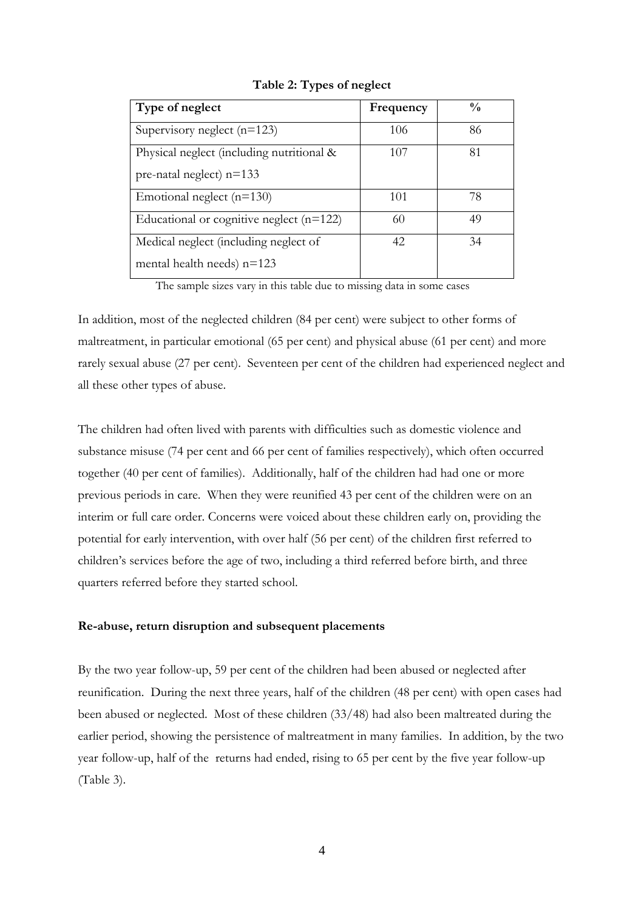| Type of neglect                            | Frequency | $\frac{0}{0}$ |
|--------------------------------------------|-----------|---------------|
| Supervisory neglect $(n=123)$              | 106       | 86            |
| Physical neglect (including nutritional &  | 107       | 81            |
| pre-natal neglect) $n=133$                 |           |               |
| Emotional neglect $(n=130)$                | 101       | 78            |
| Educational or cognitive neglect $(n=122)$ | 60        | 49            |
| Medical neglect (including neglect of      | 42        | 34            |
| mental health needs) n=123                 |           |               |

**Table 2: Types of neglect**

The sample sizes vary in this table due to missing data in some cases

In addition, most of the neglected children (84 per cent) were subject to other forms of maltreatment, in particular emotional (65 per cent) and physical abuse (61 per cent) and more rarely sexual abuse (27 per cent). Seventeen per cent of the children had experienced neglect and all these other types of abuse.

The children had often lived with parents with difficulties such as domestic violence and substance misuse (74 per cent and 66 per cent of families respectively), which often occurred together (40 per cent of families). Additionally, half of the children had had one or more previous periods in care. When they were reunified 43 per cent of the children were on an interim or full care order. Concerns were voiced about these children early on, providing the potential for early intervention, with over half (56 per cent) of the children first referred to children's services before the age of two, including a third referred before birth, and three quarters referred before they started school.

#### **Re-abuse, return disruption and subsequent placements**

By the two year follow-up, 59 per cent of the children had been abused or neglected after reunification. During the next three years, half of the children (48 per cent) with open cases had been abused or neglected. Most of these children (33/48) had also been maltreated during the earlier period, showing the persistence of maltreatment in many families. In addition, by the two year follow-up, half of the returns had ended, rising to 65 per cent by the five year follow-up (Table 3).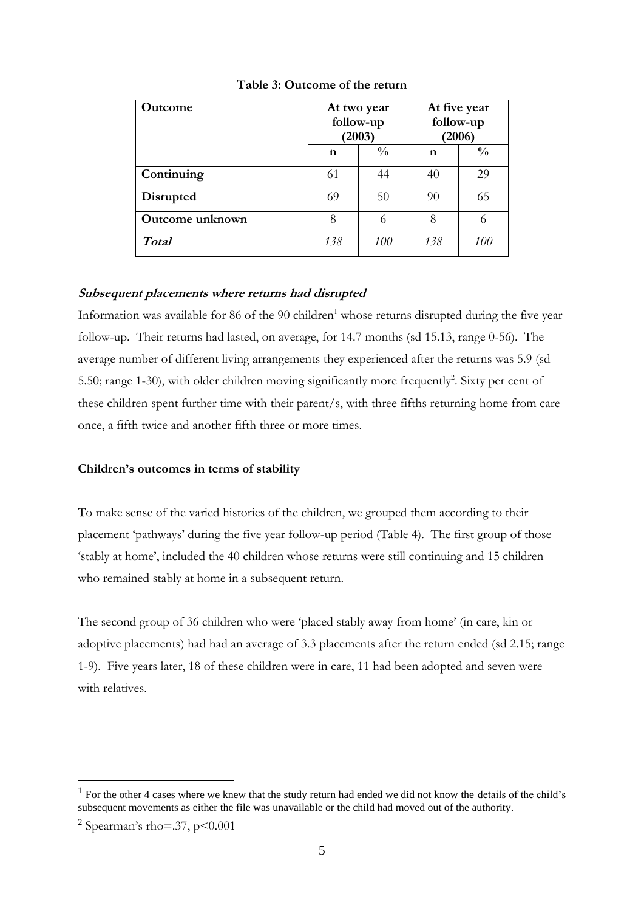| <b>Outcome</b>  |     | At two year<br>follow-up<br>(2003) | follow-up | At five year<br>(2006) |
|-----------------|-----|------------------------------------|-----------|------------------------|
|                 | n   | $\frac{0}{0}$                      | n         | $\frac{0}{0}$          |
| Continuing      | 61  | 44                                 | 40        | 29                     |
| Disrupted       | 69  | 50                                 | 90        | 65                     |
| Outcome unknown | 8   | 6                                  | 8         | 6                      |
| <b>Total</b>    | 138 | 100                                | 138       | 100                    |

**Table 3: Outcome of the return**

# **Subsequent placements where returns had disrupted**

Information was available for 86 of the 90 children<sup>1</sup> whose returns disrupted during the five year follow-up. Their returns had lasted, on average, for 14.7 months (sd 15.13, range 0-56). The average number of different living arrangements they experienced after the returns was 5.9 (sd 5.50; range 1-30), with older children moving significantly more frequently<sup>2</sup>. Sixty per cent of these children spent further time with their parent/s, with three fifths returning home from care once, a fifth twice and another fifth three or more times.

### **Children's outcomes in terms of stability**

To make sense of the varied histories of the children, we grouped them according to their placement 'pathways' during the five year follow-up period (Table 4). The first group of those 'stably at home', included the 40 children whose returns were still continuing and 15 children who remained stably at home in a subsequent return.

The second group of 36 children who were 'placed stably away from home' (in care, kin or adoptive placements) had had an average of 3.3 placements after the return ended (sd 2.15; range 1-9). Five years later, 18 of these children were in care, 11 had been adopted and seven were with relatives.

<sup>&</sup>lt;sup>1</sup> For the other 4 cases where we knew that the study return had ended we did not know the details of the child's subsequent movements as either the file was unavailable or the child had moved out of the authority.

 $^{2}$  Spearman's rho=.37, p<0.001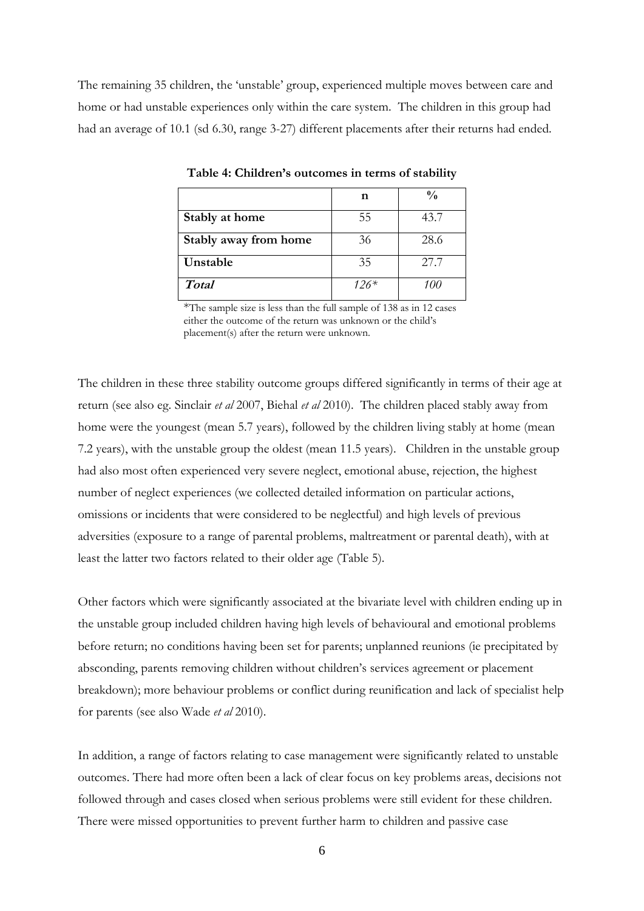The remaining 35 children, the 'unstable' group, experienced multiple moves between care and home or had unstable experiences only within the care system. The children in this group had had an average of 10.1 (sd 6.30, range 3-27) different placements after their returns had ended.

|                       | n      | $\frac{0}{0}$ |
|-----------------------|--------|---------------|
| Stably at home        | 55     | 43.7          |
| Stably away from home | 36     | 28.6          |
| Unstable              | 35     | 27.7          |
| <b>Total</b>          | $126*$ | 100           |

**Table 4: Children's outcomes in terms of stability**

\*The sample size is less than the full sample of 138 as in 12 cases either the outcome of the return was unknown or the child's placement(s) after the return were unknown.

The children in these three stability outcome groups differed significantly in terms of their age at return (see also eg. Sinclair *et al* 2007, Biehal *et al* 2010). The children placed stably away from home were the youngest (mean 5.7 years), followed by the children living stably at home (mean 7.2 years), with the unstable group the oldest (mean 11.5 years). Children in the unstable group had also most often experienced very severe neglect, emotional abuse, rejection, the highest number of neglect experiences (we collected detailed information on particular actions, omissions or incidents that were considered to be neglectful) and high levels of previous adversities (exposure to a range of parental problems, maltreatment or parental death), with at least the latter two factors related to their older age (Table 5).

Other factors which were significantly associated at the bivariate level with children ending up in the unstable group included children having high levels of behavioural and emotional problems before return; no conditions having been set for parents; unplanned reunions (ie precipitated by absconding, parents removing children without children's services agreement or placement breakdown); more behaviour problems or conflict during reunification and lack of specialist help for parents (see also Wade *et al* 2010).

In addition, a range of factors relating to case management were significantly related to unstable outcomes. There had more often been a lack of clear focus on key problems areas, decisions not followed through and cases closed when serious problems were still evident for these children. There were missed opportunities to prevent further harm to children and passive case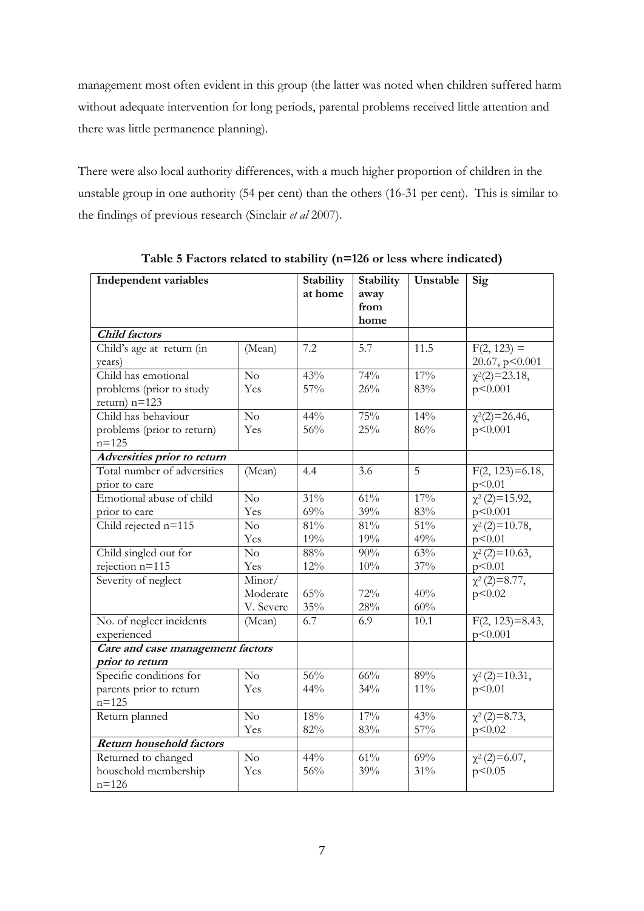management most often evident in this group (the latter was noted when children suffered harm without adequate intervention for long periods, parental problems received little attention and there was little permanence planning).

There were also local authority differences, with a much higher proportion of children in the unstable group in one authority (54 per cent) than the others (16-31 per cent). This is similar to the findings of previous research (Sinclair *et al* 2007).

| <b>Independent variables</b>            |                        | Stability<br>at home | Stability<br>away<br>from<br>home | Unstable | Sig                             |
|-----------------------------------------|------------------------|----------------------|-----------------------------------|----------|---------------------------------|
| <b>Child factors</b>                    |                        |                      |                                   |          |                                 |
| Child's age at return (in<br>years)     | (Mean)                 | 7.2                  | 5.7                               | 11.5     | $F(2, 123) =$<br>20.67, p<0.001 |
| Child has emotional                     | $\overline{No}$        | 43%                  | 74%                               | 17%      | $\chi^2(2)=23.18$ ,             |
| problems (prior to study                | Yes                    | 57%                  | 26%                               | 83%      | p<0.001                         |
| return) $n=123$                         |                        |                      |                                   |          |                                 |
| Child has behaviour                     | $\overline{\text{No}}$ | 44%                  | 75%                               | 14%      | $\chi^2(2)=26.46,$              |
| problems (prior to return)              | Yes                    | 56%                  | 25%                               | 86%      | p<0.001                         |
| $n = 125$                               |                        |                      |                                   |          |                                 |
| Adversities prior to return             |                        |                      |                                   |          |                                 |
| Total number of adversities             | (Mean)                 | 4.4                  | 3.6                               | 5        | $F(2, 123)=6.18$ ,              |
| prior to care                           |                        |                      |                                   |          | p<0.01                          |
| Emotional abuse of child                | $\overline{No}$        | 31%                  | 61%                               | 17%      | $\chi^2(2)=15.92,$              |
| prior to care                           | Yes                    | 69%                  | 39%                               | 83%      | p<0.001                         |
| Child rejected $n=115$                  | $\overline{N}$         | 81%                  | 81%                               | 51%      | $\chi^2(2)=10.78$ ,             |
|                                         | Yes                    | 19%                  | 19%                               | 49%      | p<0.01                          |
| Child singled out for                   | $\overline{No}$        | 88%                  | 90%                               | 63%      | $\chi^2$ (2)=10.63,             |
| rejection n=115                         | Yes                    | 12%                  | 10%                               | 37%      | p<0.01                          |
| Severity of neglect                     | Minor/                 |                      |                                   |          | $\chi^2(2)=8.77$ ,              |
|                                         | Moderate               | 65%                  | 72%                               | 40%      | p<0.02                          |
|                                         | V. Severe              | 35%                  | 28%                               | 60%      |                                 |
| No. of neglect incidents<br>experienced | (Mean)                 | 6.7                  | 6.9                               | 10.1     | $F(2, 123)=8.43$ ,<br>p<0.001   |
| Care and case management factors        |                        |                      |                                   |          |                                 |
| prior to return                         |                        |                      |                                   |          |                                 |
| Specific conditions for                 | $\overline{No}$        | 56%                  | 66%                               | 89%      | $\chi^2$ (2)=10.31,             |
| parents prior to return                 | Yes                    | $44\%$               | 34%                               | $11\%$   | p<0.01                          |
| $n = 125$                               |                        |                      |                                   |          |                                 |
| Return planned                          | $\overline{N}$         | 18%                  | 17%                               | 43%      | $\chi^2(2)=\overline{8.73}$ ,   |
|                                         | Yes                    | 82%                  | 83%                               | 57%      | p<0.02                          |
| <b>Return household factors</b>         |                        |                      |                                   |          |                                 |
| Returned to changed                     | $\overline{N}$         | 44%                  | $\frac{61\%}{2}$                  | 69%      | $\chi^2$ (2)=6.07,              |
| household membership<br>$n = 126$       | Yes                    | 56%                  | 39%                               | 31%      | p < 0.05                        |

**Table 5 Factors related to stability (n=126 or less where indicated)**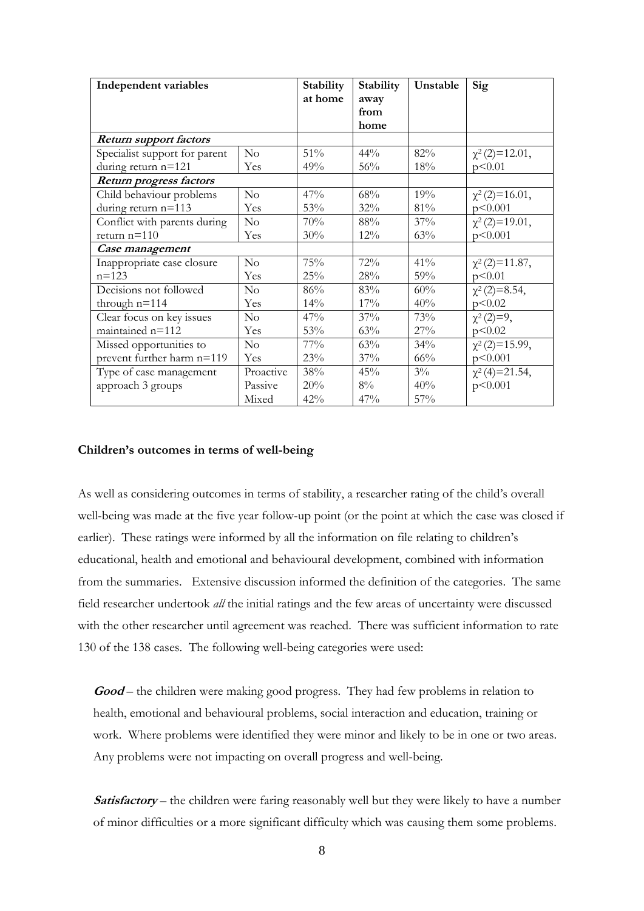| Independent variables         |           |         |       | Unstable | Sig                 |
|-------------------------------|-----------|---------|-------|----------|---------------------|
|                               |           | at home | away  |          |                     |
|                               |           |         | from  |          |                     |
|                               |           |         | home  |          |                     |
| <b>Return support factors</b> |           |         |       |          |                     |
| Specialist support for parent | No        | 51%     | 44%   | 82%      | $\chi^2$ (2)=12.01, |
| during return $n=121$         | Yes       | 49%     | 56%   | 18%      | p<0.01              |
| Return progress factors       |           |         |       |          |                     |
| Child behaviour problems      | No        | 47%     | 68%   | 19%      | $\chi^2$ (2)=16.01, |
| during return n=113           | Yes       | 53%     | 32%   | 81%      | p<0.001             |
| Conflict with parents during  | No        | 70%     | 88%   | 37%      | $\chi^2$ (2)=19.01, |
| return $n=110$                | Yes       | 30%     | 12%   | 63%      | p<0.001             |
| Case management               |           |         |       |          |                     |
| Inappropriate case closure    | No        | 75%     | 72%   | 41%      | $\chi^2$ (2)=11.87, |
| $n = 123$                     | Yes       | 25%     | 28%   | 59%      | p<0.01              |
| Decisions not followed        | $\rm No$  | 86%     | 83%   | 60%      | $\chi^2$ (2)=8.54,  |
| through $n=114$               | Yes       | 14%     | 17%   | 40%      | p<0.02              |
| Clear focus on key issues     | No        | 47%     | 37%   | 73%      | $\chi^2(2)=9,$      |
| maintained n=112              | Yes       | 53%     | 63%   | 27%      | p<0.02              |
| Missed opportunities to       | No        | 77%     | 63%   | 34%      | $\chi^2$ (2)=15.99, |
| prevent further harm n=119    | Yes       | 23%     | 37%   | 66%      | p<0.001             |
| Type of case management       | Proactive | 38%     | 45%   | $3\%$    | $\chi^2(4)=21.54,$  |
| approach 3 groups             | Passive   | 20%     | $8\%$ | 40%      | p<0.001             |
|                               | Mixed     | 42%     | 47%   | 57%      |                     |

#### **Children's outcomes in terms of well-being**

As well as considering outcomes in terms of stability, a researcher rating of the child's overall well-being was made at the five year follow-up point (or the point at which the case was closed if earlier). These ratings were informed by all the information on file relating to children's educational, health and emotional and behavioural development, combined with information from the summaries. Extensive discussion informed the definition of the categories. The same field researcher undertook *all* the initial ratings and the few areas of uncertainty were discussed with the other researcher until agreement was reached. There was sufficient information to rate 130 of the 138 cases. The following well-being categories were used:

Good – the children were making good progress. They had few problems in relation to health, emotional and behavioural problems, social interaction and education, training or work. Where problems were identified they were minor and likely to be in one or two areas. Any problems were not impacting on overall progress and well-being.

**Satisfactory** – the children were faring reasonably well but they were likely to have a number of minor difficulties or a more significant difficulty which was causing them some problems.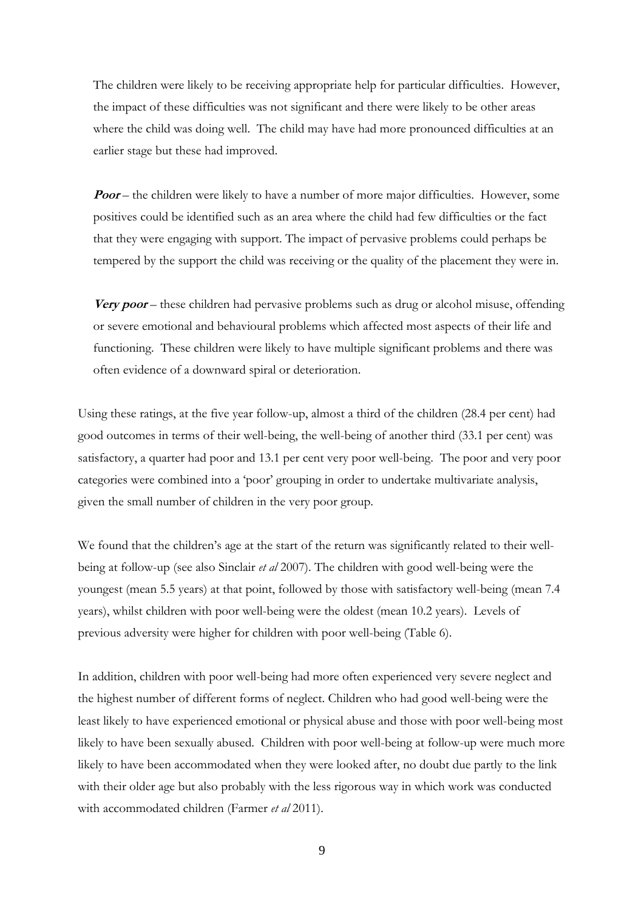The children were likely to be receiving appropriate help for particular difficulties. However, the impact of these difficulties was not significant and there were likely to be other areas where the child was doing well. The child may have had more pronounced difficulties at an earlier stage but these had improved.

**Poor** – the children were likely to have a number of more major difficulties. However, some positives could be identified such as an area where the child had few difficulties or the fact that they were engaging with support. The impact of pervasive problems could perhaps be tempered by the support the child was receiving or the quality of the placement they were in.

**Very poor** – these children had pervasive problems such as drug or alcohol misuse, offending or severe emotional and behavioural problems which affected most aspects of their life and functioning. These children were likely to have multiple significant problems and there was often evidence of a downward spiral or deterioration.

Using these ratings, at the five year follow-up, almost a third of the children (28.4 per cent) had good outcomes in terms of their well-being, the well-being of another third (33.1 per cent) was satisfactory, a quarter had poor and 13.1 per cent very poor well-being. The poor and very poor categories were combined into a 'poor' grouping in order to undertake multivariate analysis, given the small number of children in the very poor group.

We found that the children's age at the start of the return was significantly related to their wellbeing at follow-up (see also Sinclair *et al* 2007). The children with good well-being were the youngest (mean 5.5 years) at that point, followed by those with satisfactory well-being (mean 7.4 years), whilst children with poor well-being were the oldest (mean 10.2 years). Levels of previous adversity were higher for children with poor well-being (Table 6).

In addition, children with poor well-being had more often experienced very severe neglect and the highest number of different forms of neglect. Children who had good well-being were the least likely to have experienced emotional or physical abuse and those with poor well-being most likely to have been sexually abused. Children with poor well-being at follow-up were much more likely to have been accommodated when they were looked after, no doubt due partly to the link with their older age but also probably with the less rigorous way in which work was conducted with accommodated children (Farmer *et al* 2011).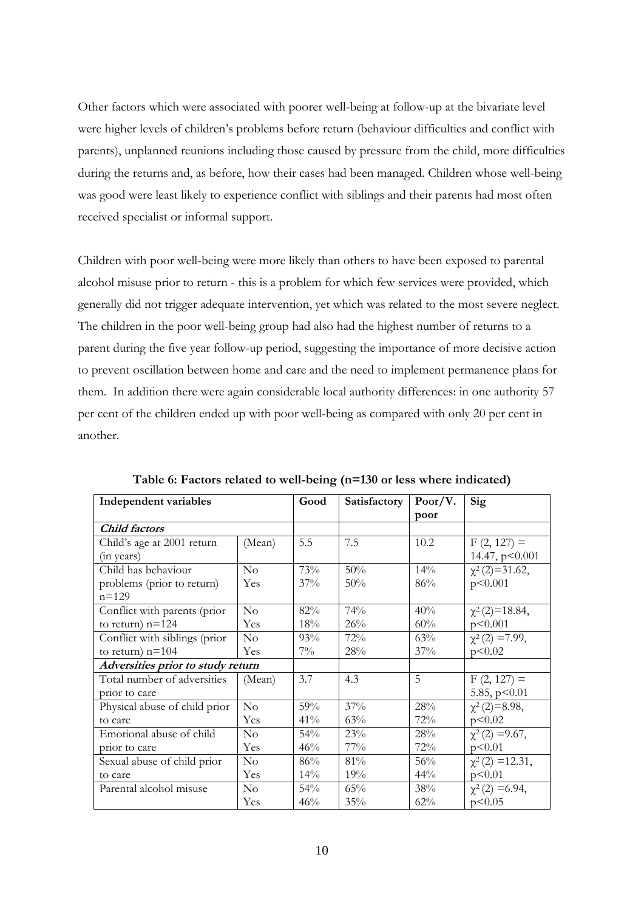Other factors which were associated with poorer well-being at follow-up at the bivariate level were higher levels of children's problems before return (behaviour difficulties and conflict with parents), unplanned reunions including those caused by pressure from the child, more difficulties during the returns and, as before, how their cases had been managed. Children whose well-being was good were least likely to experience conflict with siblings and their parents had most often received specialist or informal support.

Children with poor well-being were more likely than others to have been exposed to parental alcohol misuse prior to return - this is a problem for which few services were provided, which generally did not trigger adequate intervention, yet which was related to the most severe neglect. The children in the poor well-being group had also had the highest number of returns to a parent during the five year follow-up period, suggesting the importance of more decisive action to prevent oscillation between home and care and the need to implement permanence plans for them. In addition there were again considerable local authority differences: in one authority 57 per cent of the children ended up with poor well-being as compared with only 20 per cent in another.

| Independent variables             | Good     | Satisfactory | Poor/V. | Sig  |                      |
|-----------------------------------|----------|--------------|---------|------|----------------------|
|                                   |          |              |         | poor |                      |
| Child factors                     |          |              |         |      |                      |
| Child's age at 2001 return        | (Mean)   | 5.5          | 7.5     | 10.2 | $F(2, 127) =$        |
| (in years)                        |          |              |         |      | 14.47, p<0.001       |
| Child has behaviour               | No       | 73%          | 50%     | 14%  | $\chi^2(2)=31.62$ ,  |
| problems (prior to return)        | Yes      | 37%          | 50%     | 86%  | p<0.001              |
| $n = 129$                         |          |              |         |      |                      |
| Conflict with parents (prior      | No       | 82%          | 74%     | 40%  | $\chi^2$ (2)=18.84,  |
| to return) $n=124$                | Yes      | 18%          | 26%     | 60%  | p<0.001              |
| Conflict with siblings (prior     | No       | 93%          | 72%     | 63%  | $\chi^2(2) = 7.99$ , |
| to return) $n=104$                | Yes      | $7\%$        | 28%     | 37%  | p<0.02               |
| Adversities prior to study return |          |              |         |      |                      |
| Total number of adversities       | (Mean)   | 3.7          | 4.3     | 5    | $F(2, 127) =$        |
| prior to care                     |          |              |         |      | 5.85, $p<0.01$       |
| Physical abuse of child prior     | No       | 59%          | 37%     | 28%  | $\chi^2$ (2)=8.98,   |
| to care                           | Yes      | 41%          | 63%     | 72%  | p<0.02               |
| Emotional abuse of child          | No       | 54%          | 23%     | 28%  | $\chi^2(2) = 9.67$ , |
| prior to care                     | Yes      | 46%          | $77\%$  | 72%  | p<0.01               |
| Sexual abuse of child prior       | No       | 86%          | 81%     | 56%  | $\chi^2(2) = 12.31,$ |
| to care                           | Yes      | 14%          | 19%     | 44%  | p<0.01               |
| Parental alcohol misuse           | $\rm No$ | 54%          | 65%     | 38%  | $\chi^2(2) = 6.94$ , |
|                                   | Yes      | 46%          | 35%     | 62%  | p<0.05               |

**Table 6: Factors related to well-being (n=130 or less where indicated)**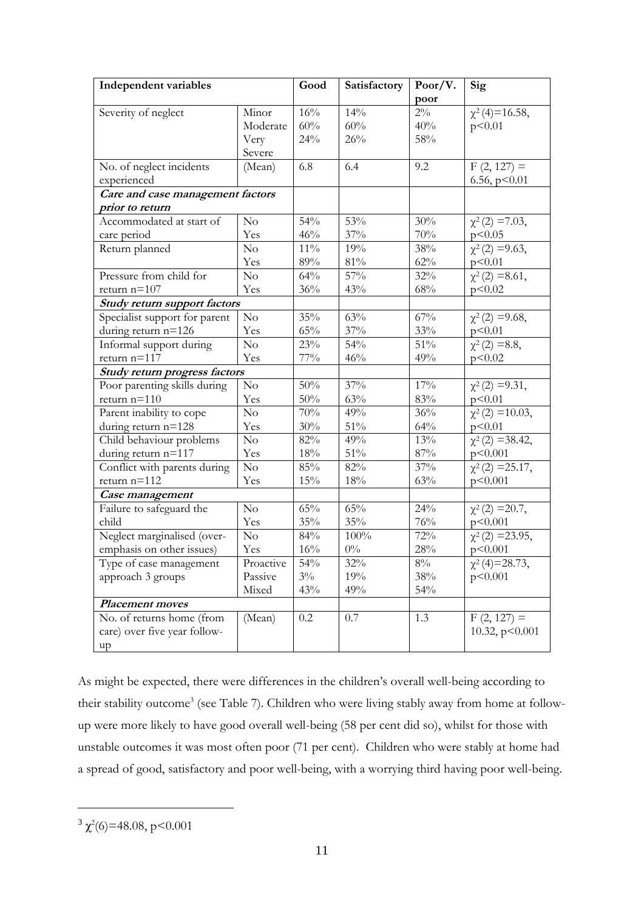| Independent variables               | Good           | Satisfactory | Poor/V. | Sig    |                                 |
|-------------------------------------|----------------|--------------|---------|--------|---------------------------------|
|                                     |                |              |         | poor   |                                 |
| Severity of neglect                 | Minor          | 16%          | 14%     | $2\%$  | $\chi^2(4)=16.58$ ,             |
|                                     | Moderate       | 60%          | 60%     | 40%    | p<0.01                          |
|                                     | Very           | 24%          | 26%     | 58%    |                                 |
|                                     | Severe         |              |         |        |                                 |
| No. of neglect incidents            | (Mean)         | 6.8          | 6.4     | 9.2    | $F(2, 127) =$                   |
| experienced                         |                |              |         |        | 6.56, $p<0.01$                  |
| Care and case management factors    |                |              |         |        |                                 |
| prior to return                     |                |              |         |        |                                 |
| Accommodated at start of            | No             | 54%          | 53%     | 30%    | $\chi^2(2) = 7.03$ ,            |
| care period                         | Yes            | 46%          | 37%     | $70\%$ | p<0.05                          |
| Return planned                      | $\rm No$       | $11\%$       | 19%     | 38%    | $\chi^2(2) = 9.63$ ,            |
|                                     | Yes            | $89\%$       | $81\%$  | $62\%$ | p<0.01                          |
| Pressure from child for             | No             | 64%          | 57%     | 32%    | $\chi^2(2) = 8.61,$             |
| return n=107                        | Yes            | 36%          | 43%     | $68\%$ | p<0.02                          |
| <b>Study return support factors</b> |                |              |         |        |                                 |
| Specialist support for parent       | No             | 35%          | 63%     | 67%    | $\chi^2(2) = 9.68$ ,            |
| during return n=126                 | Yes            | 65%          | $37\%$  | $33\%$ | p<0.01                          |
| Informal support during             | No             | 23%          | 54%     | 51%    | $\chi^2(2) = 8.8$ ,             |
| return n=117                        | Yes            | $77\%$       | 46%     | 49%    | p<0.02                          |
| Study return progress factors       |                |              |         |        |                                 |
| Poor parenting skills during        | $\overline{N}$ | 50%          | 37%     | 17%    | $\chi^2(2) = 9.31,$             |
| return $n=110$                      | Yes            | $50\%$       | $63\%$  | 83%    | p<0.01                          |
| Parent inability to cope            | $\rm No$       | 70%          | 49%     | 36%    | $\chi^2(2) = 10.03$ ,           |
| during return n=128                 | Yes            | 30%          | $51\%$  | $64\%$ | p<0.01                          |
| Child behaviour problems            | $\rm No$       | 82%          | 49%     | $13\%$ | $\chi^2(2) = 38.42$ ,           |
| during return n=117                 | Yes            | $18\%$       | $51\%$  | $87\%$ | p<0.001                         |
| Conflict with parents during        | No             | 85%          | 82%     | 37%    | $\chi^2(2) = 25.17$ ,           |
| return n=112                        | Yes            | 15%          | $18\%$  | 63%    | p<0.001                         |
| Case management                     |                |              |         |        |                                 |
| Failure to safeguard the            | No             | 65%          | 65%     | 24%    | $\chi^2(2) = 20.7$ ,            |
| child                               | Yes            | $35\%$       | 35%     | 76%    | p<0.001                         |
| Neglect marginalised (over-         | No             | 84%          | 100%    | 72%    | $\chi^2(2) = 23.95$ ,           |
| emphasis on other issues)           | Yes            | 16%          | $0\%$   | 28%    | p<0.001                         |
| Type of case management             | Proactive      | 54%          | 32%     | $8\%$  | $\chi^2(\overline{4}) = 28.73,$ |
| approach 3 groups                   | Passive        | $3\%$        | 19%     | 38%    | p<0.001                         |
|                                     | Mixed          | 43%          | 49%     | 54%    |                                 |
| <b>Placement moves</b>              |                |              |         |        |                                 |
| No. of returns home (from           | (Mean)         | $0.2\,$      | $0.7\,$ | 1.3    | $F(2, 127) =$                   |
| care) over five year follow-        |                |              |         |        | 10.32, p<0.001                  |
| up                                  |                |              |         |        |                                 |

As might be expected, there were differences in the children's overall well-being according to their stability outcome<sup>3</sup> (see Table 7). Children who were living stably away from home at followup were more likely to have good overall well-being (58 per cent did so), whilst for those with unstable outcomes it was most often poor (71 per cent). Children who were stably at home had a spread of good, satisfactory and poor well-being, with a worrying third having poor well-being.

 $3 \chi^2(6) = 48.08$ , p < 0.001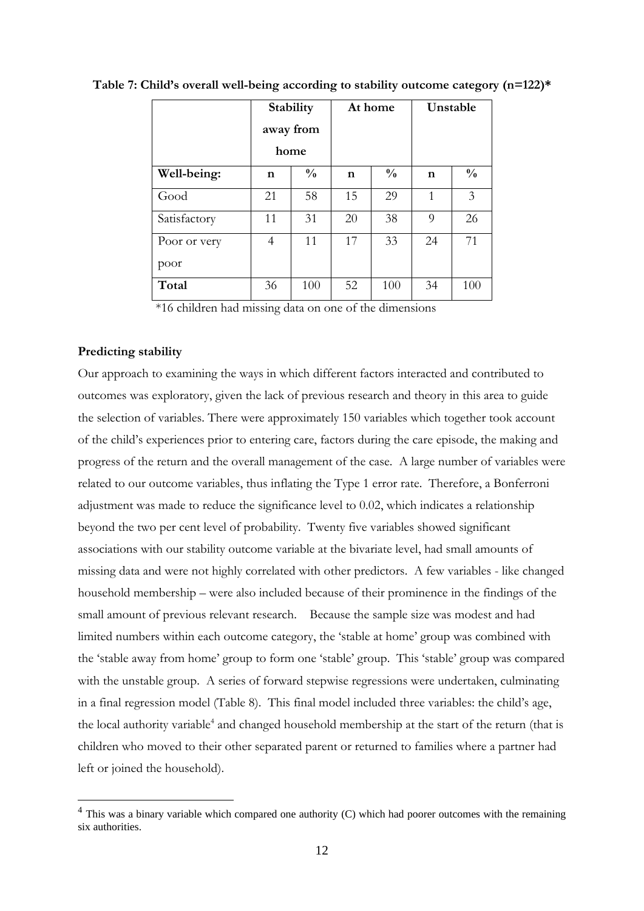|              | Stability |               | At home     |               | Unstable    |               |
|--------------|-----------|---------------|-------------|---------------|-------------|---------------|
|              | away from |               |             |               |             |               |
|              | home      |               |             |               |             |               |
| Well-being:  | n         | $\frac{0}{0}$ | $\mathbf n$ | $\frac{0}{0}$ | $\mathbf n$ | $\frac{0}{0}$ |
| Good         | 21        | 58            | 15          | 29            | 1           | 3             |
| Satisfactory | 11        | 31            | 20          | 38            | 9           | 26            |
| Poor or very | 4         | 11            | 17          | 33            | 24          | 71            |
| poor         |           |               |             |               |             |               |
| Total        | 36        | 100           | 52          | 100           | 34          | 100           |

**Table 7: Child's overall well-being according to stability outcome category (n=122)\***

\*16 children had missing data on one of the dimensions

#### **Predicting stability**

Our approach to examining the ways in which different factors interacted and contributed to outcomes was exploratory, given the lack of previous research and theory in this area to guide the selection of variables. There were approximately 150 variables which together took account of the child's experiences prior to entering care, factors during the care episode, the making and progress of the return and the overall management of the case. A large number of variables were related to our outcome variables, thus inflating the Type 1 error rate. Therefore, a Bonferroni adjustment was made to reduce the significance level to 0.02, which indicates a relationship beyond the two per cent level of probability. Twenty five variables showed significant associations with our stability outcome variable at the bivariate level, had small amounts of missing data and were not highly correlated with other predictors. A few variables - like changed household membership – were also included because of their prominence in the findings of the small amount of previous relevant research. Because the sample size was modest and had limited numbers within each outcome category, the 'stable at home' group was combined with the 'stable away from home' group to form one 'stable' group. This 'stable' group was compared with the unstable group. A series of forward stepwise regressions were undertaken, culminating in a final regression model (Table 8). This final model included three variables: the child's age, the local authority variable<sup>4</sup> and changed household membership at the start of the return (that is children who moved to their other separated parent or returned to families where a partner had left or joined the household).

 $4$  This was a binary variable which compared one authority (C) which had poorer outcomes with the remaining six authorities.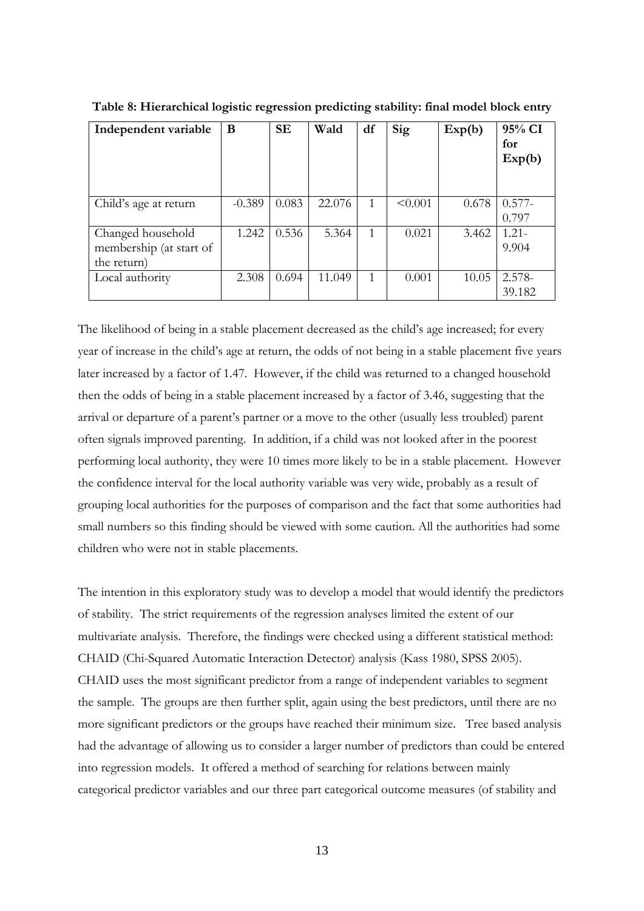| Independent variable                                        | B        | <b>SE</b> | Wald   | df | Sig     | Exp(b) | 95% CI<br>for<br>Exp(b) |
|-------------------------------------------------------------|----------|-----------|--------|----|---------|--------|-------------------------|
| Child's age at return                                       | $-0.389$ | 0.083     | 22.076 |    | < 0.001 | 0.678  | $0.577-$<br>0.797       |
| Changed household<br>membership (at start of<br>the return) | 1.242    | 0.536     | 5.364  |    | 0.021   | 3.462  | $1.21 -$<br>9.904       |
| Local authority                                             | 2.308    | 0.694     | 11.049 |    | 0.001   | 10.05  | $2.578 -$<br>39.182     |

**Table 8: Hierarchical logistic regression predicting stability: final model block entry**

The likelihood of being in a stable placement decreased as the child's age increased; for every year of increase in the child's age at return, the odds of not being in a stable placement five years later increased by a factor of 1.47. However, if the child was returned to a changed household then the odds of being in a stable placement increased by a factor of 3.46, suggesting that the arrival or departure of a parent's partner or a move to the other (usually less troubled) parent often signals improved parenting. In addition, if a child was not looked after in the poorest performing local authority, they were 10 times more likely to be in a stable placement. However the confidence interval for the local authority variable was very wide, probably as a result of grouping local authorities for the purposes of comparison and the fact that some authorities had small numbers so this finding should be viewed with some caution. All the authorities had some children who were not in stable placements.

The intention in this exploratory study was to develop a model that would identify the predictors of stability. The strict requirements of the regression analyses limited the extent of our multivariate analysis. Therefore, the findings were checked using a different statistical method: CHAID (Chi-Squared Automatic Interaction Detector) analysis (Kass 1980, SPSS 2005). CHAID uses the most significant predictor from a range of independent variables to segment the sample. The groups are then further split, again using the best predictors, until there are no more significant predictors or the groups have reached their minimum size. Tree based analysis had the advantage of allowing us to consider a larger number of predictors than could be entered into regression models. It offered a method of searching for relations between mainly categorical predictor variables and our three part categorical outcome measures (of stability and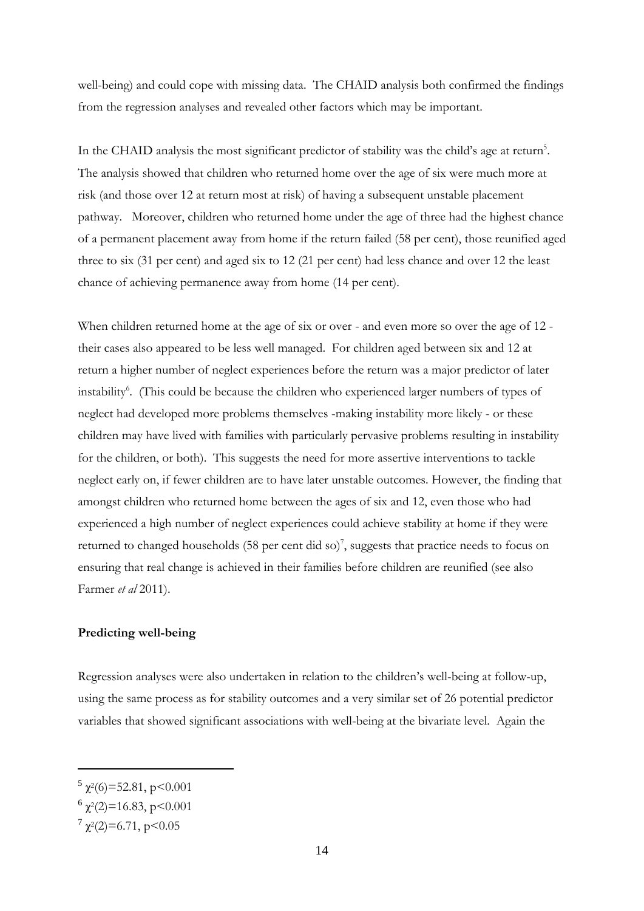well-being) and could cope with missing data. The CHAID analysis both confirmed the findings from the regression analyses and revealed other factors which may be important.

In the CHAID analysis the most significant predictor of stability was the child's age at return<sup>5</sup>. The analysis showed that children who returned home over the age of six were much more at risk (and those over 12 at return most at risk) of having a subsequent unstable placement pathway. Moreover, children who returned home under the age of three had the highest chance of a permanent placement away from home if the return failed (58 per cent), those reunified aged three to six (31 per cent) and aged six to 12 (21 per cent) had less chance and over 12 the least chance of achieving permanence away from home (14 per cent).

When children returned home at the age of six or over - and even more so over the age of 12 their cases also appeared to be less well managed. For children aged between six and 12 at return a higher number of neglect experiences before the return was a major predictor of later instability<sup>6</sup>. (This could be because the children who experienced larger numbers of types of neglect had developed more problems themselves -making instability more likely - or these children may have lived with families with particularly pervasive problems resulting in instability for the children, or both). This suggests the need for more assertive interventions to tackle neglect early on, if fewer children are to have later unstable outcomes. However, the finding that amongst children who returned home between the ages of six and 12, even those who had experienced a high number of neglect experiences could achieve stability at home if they were returned to changed households  $(58 \text{ per cent did so})^7$ , suggests that practice needs to focus on ensuring that real change is achieved in their families before children are reunified (see also Farmer *et al* 2011).

# **Predicting well-being**

Regression analyses were also undertaken in relation to the children's well-being at follow-up, using the same process as for stability outcomes and a very similar set of 26 potential predictor variables that showed significant associations with well-being at the bivariate level. Again the

 $5 \chi^2(6) = 52.81, p < 0.001$ 

 $^{6}$   $\chi^{2}(2)=16.83$ , p < 0.001

 $7 \chi^2(2)=6.71, p<0.05$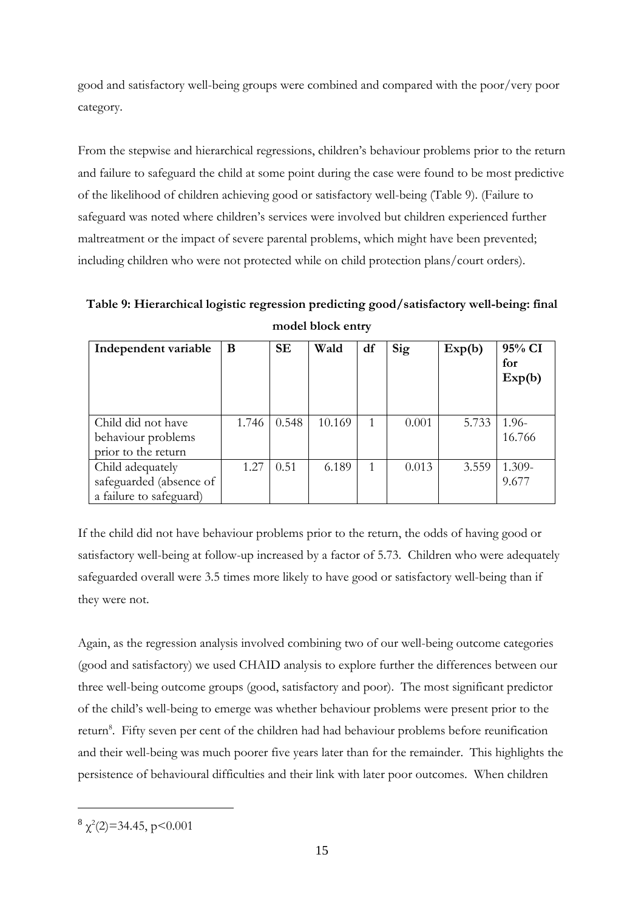good and satisfactory well-being groups were combined and compared with the poor/very poor category.

From the stepwise and hierarchical regressions, children's behaviour problems prior to the return and failure to safeguard the child at some point during the case were found to be most predictive of the likelihood of children achieving good or satisfactory well-being (Table 9). (Failure to safeguard was noted where children's services were involved but children experienced further maltreatment or the impact of severe parental problems, which might have been prevented; including children who were not protected while on child protection plans/court orders).

**Table 9: Hierarchical logistic regression predicting good/satisfactory well-being: final model block entry**

| Independent variable    | B     | <b>SE</b> | Wald   | df | Sig   | Exp(b) | 95% CI<br>for<br>Exp(b) |
|-------------------------|-------|-----------|--------|----|-------|--------|-------------------------|
| Child did not have      | 1.746 | 0.548     | 10.169 | 1  | 0.001 | 5.733  | $1.96 -$                |
| behaviour problems      |       |           |        |    |       |        | 16.766                  |
| prior to the return     |       |           |        |    |       |        |                         |
| Child adequately        | 1.27  | 0.51      | 6.189  |    | 0.013 | 3.559  | 1.309-                  |
| safeguarded (absence of |       |           |        |    |       |        | 9.677                   |
| a failure to safeguard) |       |           |        |    |       |        |                         |

If the child did not have behaviour problems prior to the return, the odds of having good or satisfactory well-being at follow-up increased by a factor of 5.73. Children who were adequately safeguarded overall were 3.5 times more likely to have good or satisfactory well-being than if they were not.

Again, as the regression analysis involved combining two of our well-being outcome categories (good and satisfactory) we used CHAID analysis to explore further the differences between our three well-being outcome groups (good, satisfactory and poor). The most significant predictor of the child's well-being to emerge was whether behaviour problems were present prior to the return<sup>8</sup>. Fifty seven per cent of the children had had behaviour problems before reunification and their well-being was much poorer five years later than for the remainder. This highlights the persistence of behavioural difficulties and their link with later poor outcomes. When children

 $8 \chi^2(2) = 34.45$ , p < 0.001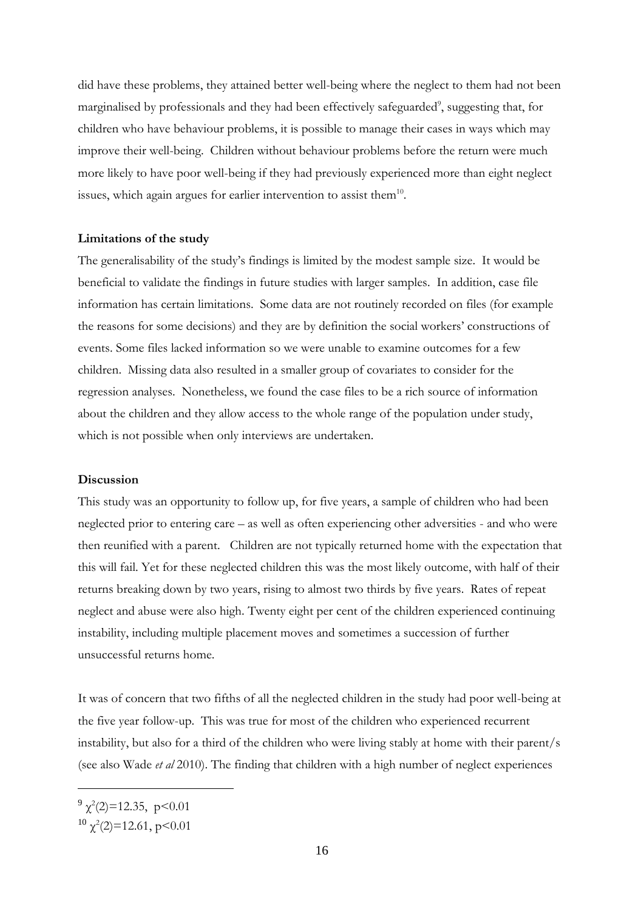did have these problems, they attained better well-being where the neglect to them had not been marginalised by professionals and they had been effectively safeguarded<sup>9</sup>, suggesting that, for children who have behaviour problems, it is possible to manage their cases in ways which may improve their well-being. Children without behaviour problems before the return were much more likely to have poor well-being if they had previously experienced more than eight neglect issues, which again argues for earlier intervention to assist them<sup>10</sup>.

#### **Limitations of the study**

The generalisability of the study's findings is limited by the modest sample size. It would be beneficial to validate the findings in future studies with larger samples. In addition, case file information has certain limitations. Some data are not routinely recorded on files (for example the reasons for some decisions) and they are by definition the social workers' constructions of events. Some files lacked information so we were unable to examine outcomes for a few children. Missing data also resulted in a smaller group of covariates to consider for the regression analyses. Nonetheless, we found the case files to be a rich source of information about the children and they allow access to the whole range of the population under study, which is not possible when only interviews are undertaken.

## **Discussion**

This study was an opportunity to follow up, for five years, a sample of children who had been neglected prior to entering care – as well as often experiencing other adversities - and who were then reunified with a parent. Children are not typically returned home with the expectation that this will fail. Yet for these neglected children this was the most likely outcome, with half of their returns breaking down by two years, rising to almost two thirds by five years. Rates of repeat neglect and abuse were also high. Twenty eight per cent of the children experienced continuing instability, including multiple placement moves and sometimes a succession of further unsuccessful returns home.

It was of concern that two fifths of all the neglected children in the study had poor well-being at the five year follow-up. This was true for most of the children who experienced recurrent instability, but also for a third of the children who were living stably at home with their parent/s (see also Wade *et al* 2010). The finding that children with a high number of neglect experiences

 $9 \chi^2(2) = 12.35$ , p<0.01

<sup>&</sup>lt;sup>10</sup>  $\chi^2(2)$ =12.61, p<0.01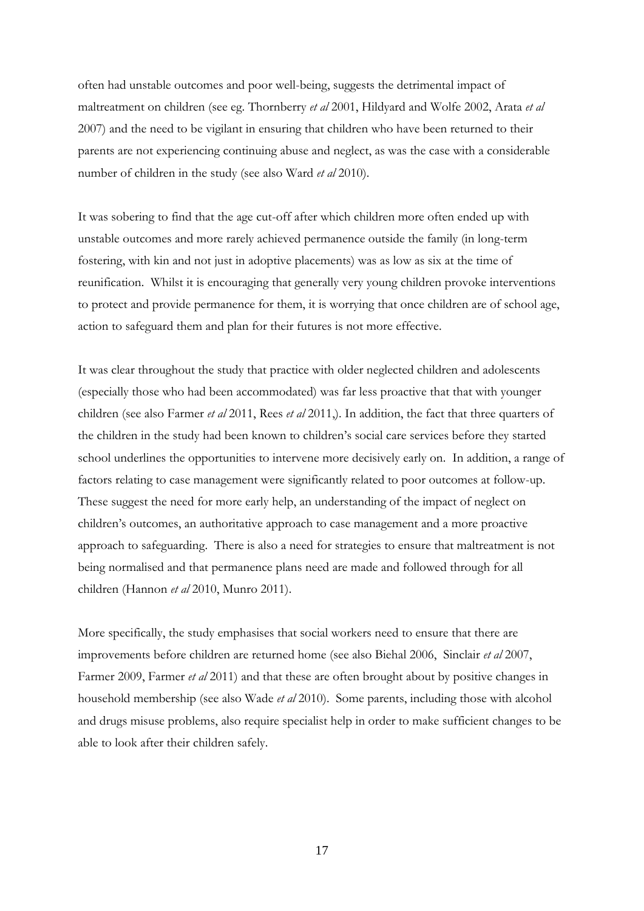often had unstable outcomes and poor well-being, suggests the detrimental impact of maltreatment on children (see eg. Thornberry *et al* 2001, Hildyard and Wolfe 2002, Arata *et al* 2007) and the need to be vigilant in ensuring that children who have been returned to their parents are not experiencing continuing abuse and neglect, as was the case with a considerable number of children in the study (see also Ward *et al* 2010).

It was sobering to find that the age cut-off after which children more often ended up with unstable outcomes and more rarely achieved permanence outside the family (in long-term fostering, with kin and not just in adoptive placements) was as low as six at the time of reunification. Whilst it is encouraging that generally very young children provoke interventions to protect and provide permanence for them, it is worrying that once children are of school age, action to safeguard them and plan for their futures is not more effective.

It was clear throughout the study that practice with older neglected children and adolescents (especially those who had been accommodated) was far less proactive that that with younger children (see also Farmer *et al* 2011, Rees *et al* 2011,). In addition, the fact that three quarters of the children in the study had been known to children's social care services before they started school underlines the opportunities to intervene more decisively early on. In addition, a range of factors relating to case management were significantly related to poor outcomes at follow-up. These suggest the need for more early help, an understanding of the impact of neglect on children's outcomes, an authoritative approach to case management and a more proactive approach to safeguarding. There is also a need for strategies to ensure that maltreatment is not being normalised and that permanence plans need are made and followed through for all children (Hannon *et al* 2010, Munro 2011).

More specifically, the study emphasises that social workers need to ensure that there are improvements before children are returned home (see also Biehal 2006, Sinclair *et al* 2007, Farmer 2009, Farmer *et al* 2011) and that these are often brought about by positive changes in household membership (see also Wade *et al* 2010). Some parents, including those with alcohol and drugs misuse problems, also require specialist help in order to make sufficient changes to be able to look after their children safely.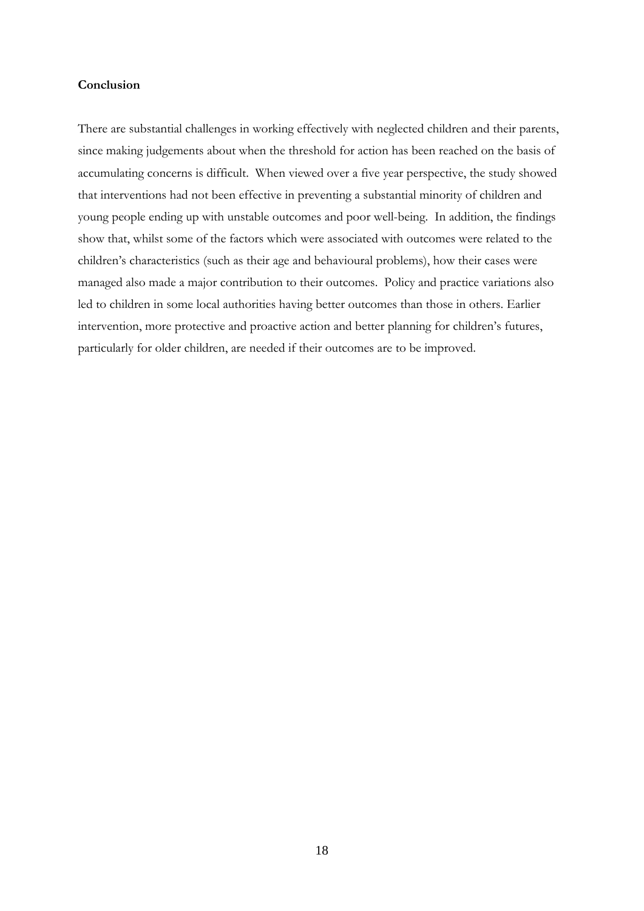#### **Conclusion**

There are substantial challenges in working effectively with neglected children and their parents, since making judgements about when the threshold for action has been reached on the basis of accumulating concerns is difficult. When viewed over a five year perspective, the study showed that interventions had not been effective in preventing a substantial minority of children and young people ending up with unstable outcomes and poor well-being. In addition, the findings show that, whilst some of the factors which were associated with outcomes were related to the children's characteristics (such as their age and behavioural problems), how their cases were managed also made a major contribution to their outcomes. Policy and practice variations also led to children in some local authorities having better outcomes than those in others. Earlier intervention, more protective and proactive action and better planning for children's futures, particularly for older children, are needed if their outcomes are to be improved.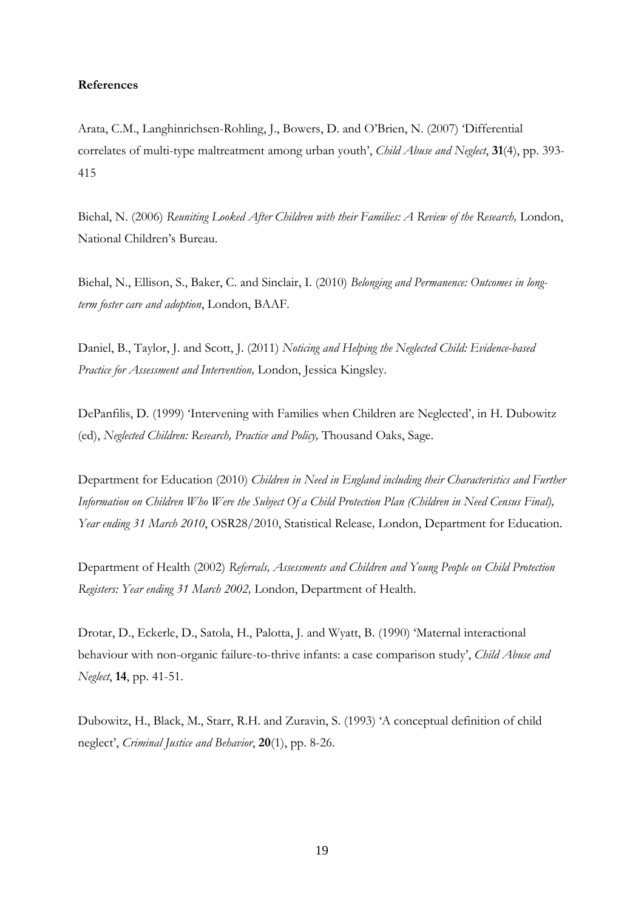#### **References**

Arata, C.M., Langhinrichsen-Rohling, J., Bowers, D. and O'Brien, N. (2007) 'Differential correlates of multi-type maltreatment among urban youth', *Child Abuse and Neglect*, **31**(4), pp. 393- 415

Biehal, N. (2006) Reuniting Looked After Children with their Families: A Review of the Research, London, National Children's Bureau.

Biehal, N., Ellison, S., Baker, C. and Sinclair, I. (2010) *Belonging and Permanence: Outcomes in longterm foster care and adoption*, London, BAAF*.*

Daniel, B., Taylor, J. and Scott, J. (2011) *Noticing and Helping the Neglected Child: Evidence-based Practice for Assessment and Intervention,* London, Jessica Kingsley.

DePanfilis, D. (1999) 'Intervening with Families when Children are Neglected', in H. Dubowitz (ed), *Neglected Children: Research, Practice and Policy,* Thousand Oaks, Sage.

Department for Education (2010) *Children in Need in England including their Characteristics and Further Information on Children Who Were the Subject Of a Child Protection Plan (Children in Need Census Final), Year ending 31 March 2010*, OSR28/2010, Statistical Release*,* London, Department for Education.

Department of Health (2002) *Referrals, Assessments and Children and Young People on Child Protection Registers: Year ending 31 March 2002,* London, Department of Health.

Drotar, D., Eckerle, D., Satola, H., Palotta, J. and Wyatt, B. (1990) 'Maternal interactional behaviour with non-organic failure-to-thrive infants: a case comparison study', *Child Abuse and Neglect*, **14**, pp. 41-51.

Dubowitz, H., Black, M., Starr, R.H. and Zuravin, S. (1993) 'A conceptual definition of child neglect', *Criminal Justice and Behavior*, **20**(1), pp. 8-26.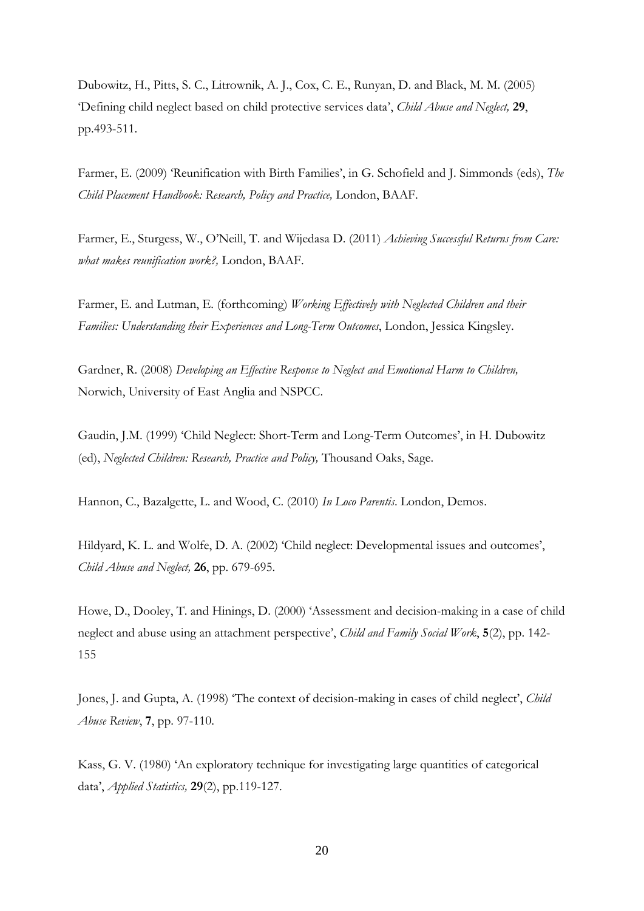Dubowitz, H., Pitts, S. C., Litrownik, A. J., Cox, C. E., Runyan, D. and Black, M. M. (2005) 'Defining child neglect based on child protective services data', *Child Abuse and Neglect,* **29**, pp.493-511.

Farmer, E. (2009) 'Reunification with Birth Families', in G. Schofield and J. Simmonds (eds), *The Child Placement Handbook: Research, Policy and Practice,* London, BAAF.

Farmer, E., Sturgess, W., O'Neill, T. and Wijedasa D. (2011) *Achieving Successful Returns from Care: what makes reunification work?,* London, BAAF.

Farmer, E. and Lutman, E. (forthcoming) *Working Effectively with Neglected Children and their Families: Understanding their Experiences and Long-Term Outcomes*, London, Jessica Kingsley.

Gardner, R. (2008) *Developing an Effective Response to Neglect and Emotional Harm to Children,* Norwich, University of East Anglia and NSPCC.

Gaudin, J.M. (1999) 'Child Neglect: Short-Term and Long-Term Outcomes', in H. Dubowitz (ed), *Neglected Children: Research, Practice and Policy,* Thousand Oaks, Sage.

Hannon, C., Bazalgette, L. and Wood, C. (2010) *In Loco Parentis*. London, Demos.

Hildyard, K. L. and Wolfe, D. A. (2002) 'Child neglect: Developmental issues and outcomes', *Child Abuse and Neglect,* **26**, pp. 679-695.

Howe, D., Dooley, T. and Hinings, D. (2000) 'Assessment and decision-making in a case of child neglect and abuse using an attachment perspective', *Child and Family Social Work*, **5**(2), pp. 142- 155

Jones, J. and Gupta, A. (1998) 'The context of decision-making in cases of child neglect', *Child Abuse Review*, **7**, pp. 97-110.

Kass, G. V. (1980) 'An exploratory technique for investigating large quantities of categorical data', *Applied Statistics,* **29**(2), pp.119-127.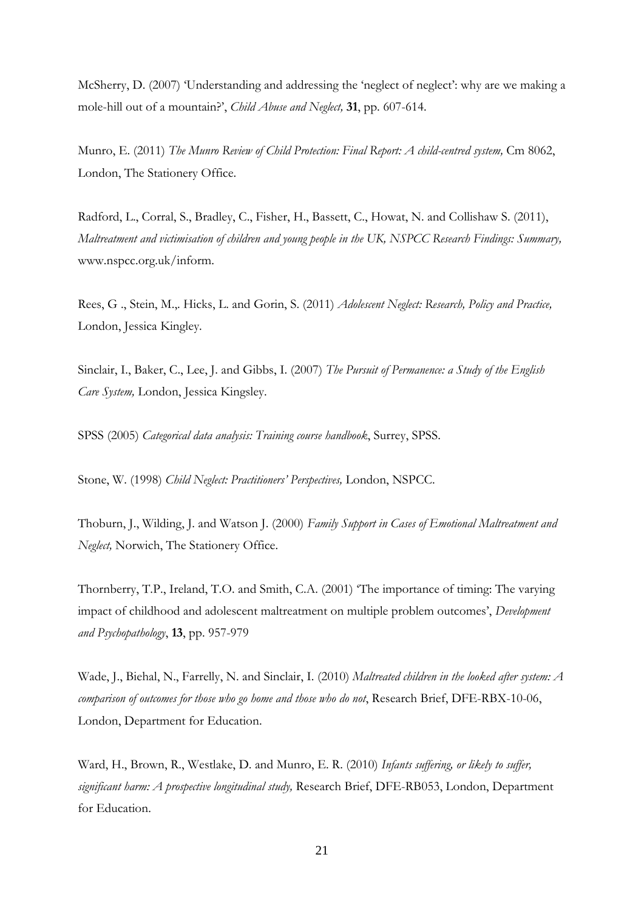McSherry, D. (2007) 'Understanding and addressing the 'neglect of neglect': why are we making a mole-hill out of a mountain?', *Child Abuse and Neglect,* **31**, pp. 607-614.

Munro, E. (2011) *The Munro Review of Child Protection: Final Report: A child-centred system, Crn 8062*, London, The Stationery Office.

Radford, L., Corral, S., Bradley, C., Fisher, H., Bassett, C., Howat, N. and Collishaw S. (2011), *Maltreatment and victimisation of children and young people in the UK, NSPCC Research Findings: Summary,*  www.nspcc.org.uk/inform.

Rees, G ., Stein, M.,. Hicks, L. and Gorin, S. (2011) *Adolescent Neglect: Research, Policy and Practice,*  London, Jessica Kingley.

Sinclair, I., Baker, C., Lee, J. and Gibbs, I. (2007) *The Pursuit of Permanence: a Study of the English Care System,* London, Jessica Kingsley.

SPSS (2005) *Categorical data analysis: Training course handbook*, Surrey, SPSS.

Stone, W. (1998) *Child Neglect: Practitioners' Perspectives,* London, NSPCC.

Thoburn, J., Wilding, J. and Watson J. (2000) *Family Support in Cases of Emotional Maltreatment and Neglect,* Norwich, The Stationery Office.

Thornberry, T.P., Ireland, T.O. and Smith, C.A. (2001) 'The importance of timing: The varying impact of childhood and adolescent maltreatment on multiple problem outcomes', *Development and Psychopathology*, **13**, pp. 957-979

Wade, J., Biehal, N., Farrelly, N. and Sinclair, I. (2010) *Maltreated children in the looked after system: A comparison of outcomes for those who go home and those who do not*, Research Brief, DFE-RBX-10-06, London, Department for Education.

Ward, H., Brown, R., Westlake, D. and Munro, E. R. (2010) *Infants suffering, or likely to suffer, significant harm: A prospective longitudinal study,* Research Brief, DFE-RB053, London, Department for Education.